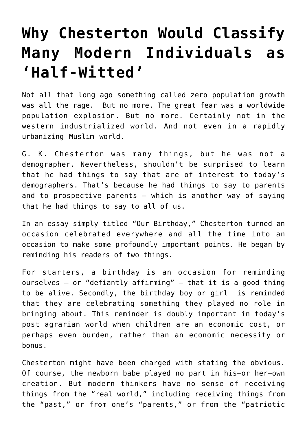## **[Why Chesterton Would Classify](https://intellectualtakeout.org/2018/09/why-chesterton-would-classify-many-modern-individuals-as-half-witted/) [Many Modern Individuals as](https://intellectualtakeout.org/2018/09/why-chesterton-would-classify-many-modern-individuals-as-half-witted/) ['Half-Witted'](https://intellectualtakeout.org/2018/09/why-chesterton-would-classify-many-modern-individuals-as-half-witted/)**

Not all that long ago something called zero population growth was all the rage. But no more. The great fear was a worldwide population explosion. But no more. Certainly not in the western industrialized world. And not even in a rapidly urbanizing Muslim world.

G. K. Chesterton was many things, but he was not a demographer. Nevertheless, shouldn't be surprised to learn that he had things to say that are of interest to today's demographers. That's because he had things to say to parents and to prospective parents – which is another way of saying that he had things to say to all of us.

In an essay simply titled "Our Birthday," Chesterton turned an occasion celebrated everywhere and all the time into an occasion to make some profoundly important points. He began by reminding his readers of two things.

For starters, a birthday is an occasion for reminding ourselves – or "defiantly affirming" – that it is a good thing to be alive. Secondly, the birthday boy or girl is reminded that they are celebrating something they played no role in bringing about. This reminder is doubly important in today's post agrarian world when children are an economic cost, or perhaps even burden, rather than an economic necessity or bonus.

Chesterton might have been charged with stating the obvious. Of course, the newborn babe played no part in his—or her—own creation. But modern thinkers have no sense of receiving things from the "real world," including receiving things from the "past," or from one's "parents," or from the "patriotic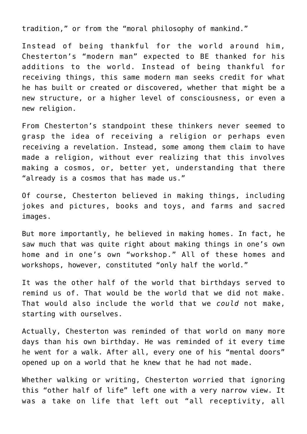tradition," or from the "moral philosophy of mankind."

Instead of being thankful for the world around him, Chesterton's "modern man" expected to BE thanked for his additions to the world. Instead of being thankful for receiving things, this same modern man seeks credit for what he has built or created or discovered, whether that might be a new structure, or a higher level of consciousness, or even a new religion.

From Chesterton's standpoint these thinkers never seemed to grasp the idea of receiving a religion or perhaps even receiving a revelation. Instead, some among them claim to have made a religion, without ever realizing that this involves making a cosmos, or, better yet, understanding that there "already is a cosmos that has made us."

Of course, Chesterton believed in making things, including jokes and pictures, books and toys, and farms and sacred images.

But more importantly, he believed in making homes. In fact, he saw much that was quite right about making things in one's own home and in one's own "workshop." All of these homes and workshops, however, constituted "only half the world."

It was the other half of the world that birthdays served to remind us of. That would be the world that we did not make. That would also include the world that we *could* not make, starting with ourselves.

Actually, Chesterton was reminded of that world on many more days than his own birthday. He was reminded of it every time he went for a walk. After all, every one of his "mental doors" opened up on a world that he knew that he had not made.

Whether walking or writing, Chesterton worried that ignoring this "other half of life" left one with a very narrow view. It was a take on life that left out "all receptivity, all